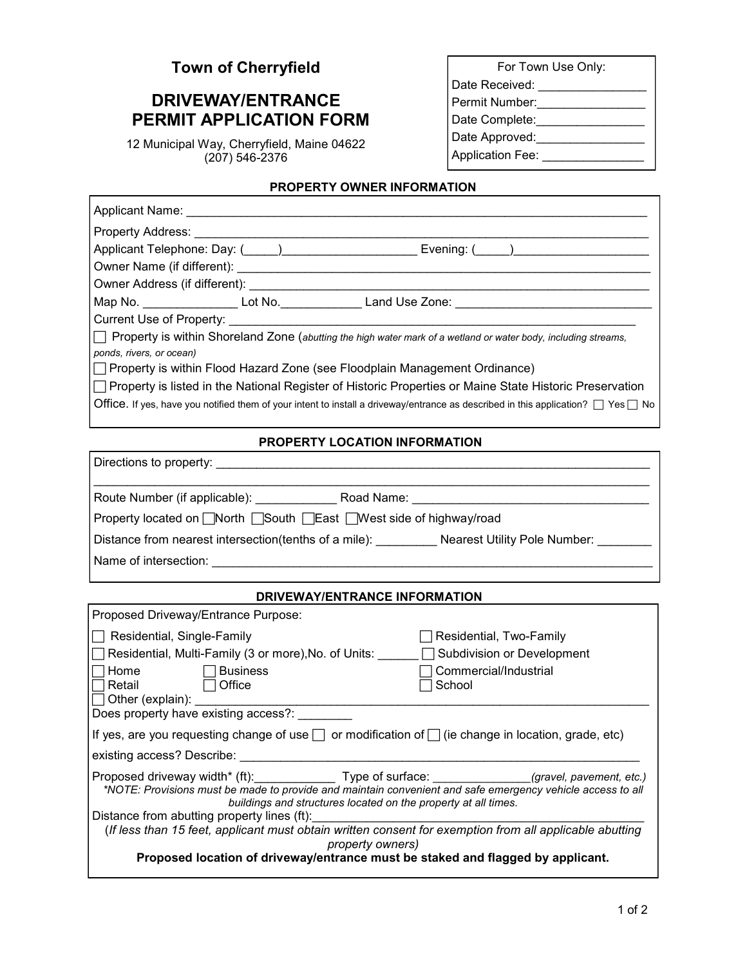## **Town of Cherryfield**

# **DRIVEWAY/ENTRANCE PERMIT APPLICATION FORM**

12 Municipal Way, Cherryfield, Maine 04622 (207) 546-2376

| For Town Use Only:      |  |  |  |
|-------------------------|--|--|--|
| Date Received:          |  |  |  |
| Permit Number:          |  |  |  |
| Date Complete:          |  |  |  |
| Date Approved:          |  |  |  |
| <b>Application Fee:</b> |  |  |  |
|                         |  |  |  |

## **PROPERTY OWNER INFORMATION**

| Applicant Name: ____________________                                                                                                        |  |  |  |  |  |
|---------------------------------------------------------------------------------------------------------------------------------------------|--|--|--|--|--|
|                                                                                                                                             |  |  |  |  |  |
| Applicant Telephone: Day: (_____) ________________________                                                                                  |  |  |  |  |  |
|                                                                                                                                             |  |  |  |  |  |
|                                                                                                                                             |  |  |  |  |  |
|                                                                                                                                             |  |  |  |  |  |
| Current Use of Property: Current Use of Property:                                                                                           |  |  |  |  |  |
| □ Property is within Shoreland Zone (abutting the high water mark of a wetland or water body, including streams,                            |  |  |  |  |  |
| ponds, rivers, or ocean)                                                                                                                    |  |  |  |  |  |
| □ Property is within Flood Hazard Zone (see Floodplain Management Ordinance)                                                                |  |  |  |  |  |
| □ Property is listed in the National Register of Historic Properties or Maine State Historic Preservation                                   |  |  |  |  |  |
| Office. If yes, have you notified them of your intent to install a driveway/entrance as described in this application? $\Box$ Yes $\Box$ No |  |  |  |  |  |

#### **PROPERTY LOCATION INFORMATION**

| Property located on North South East Mest side of highway/road                            |                              |  |  |  |  |
|-------------------------------------------------------------------------------------------|------------------------------|--|--|--|--|
| Distance from nearest intersection (tenths of a mile): Nearest Utility Pole Number:       |                              |  |  |  |  |
|                                                                                           |                              |  |  |  |  |
|                                                                                           |                              |  |  |  |  |
| <b>DRIVEWAY/ENTRANCE INFORMATION</b>                                                      |                              |  |  |  |  |
| Proposed Driveway/Entrance Purpose:                                                       |                              |  |  |  |  |
| Residential, Single-Family                                                                | Residential, Two-Family      |  |  |  |  |
| Residential, Multi-Family (3 or more), No. of Units: △ △ △ △ △ Subdivision or Development |                              |  |  |  |  |
| $\Box$ Home $\Box$ Rusiness                                                               | $\Box$ Commercial/Inductrial |  |  |  |  |

| Home                                                                                                                                                                                                                                                                                                       | <b>Business</b> |                  | Commercial/Industrial |  |  |
|------------------------------------------------------------------------------------------------------------------------------------------------------------------------------------------------------------------------------------------------------------------------------------------------------------|-----------------|------------------|-----------------------|--|--|
| ∃Retail                                                                                                                                                                                                                                                                                                    | Office          |                  | School                |  |  |
| $\Box$ Other (explain): $\Box$                                                                                                                                                                                                                                                                             |                 |                  |                       |  |  |
| Does property have existing access?:                                                                                                                                                                                                                                                                       |                 |                  |                       |  |  |
| If yes, are you requesting change of use $\Box$ or modification of $\Box$ (ie change in location, grade, etc)                                                                                                                                                                                              |                 |                  |                       |  |  |
| existing access? Describe:                                                                                                                                                                                                                                                                                 |                 |                  |                       |  |  |
| Proposed driveway width* (ft):____________________________Type of surface: _______________________(gravel, pavement, etc.)<br>*NOTE: Provisions must be made to provide and maintain convenient and safe emergency vehicle access to all<br>buildings and structures located on the property at all times. |                 |                  |                       |  |  |
| Distance from abutting property lines (ft):                                                                                                                                                                                                                                                                |                 |                  |                       |  |  |
| (If less than 15 feet, applicant must obtain written consent for exemption from all applicable abutting                                                                                                                                                                                                    |                 |                  |                       |  |  |
|                                                                                                                                                                                                                                                                                                            |                 | property owners) |                       |  |  |
| Proposed location of driveway/entrance must be staked and flagged by applicant.                                                                                                                                                                                                                            |                 |                  |                       |  |  |